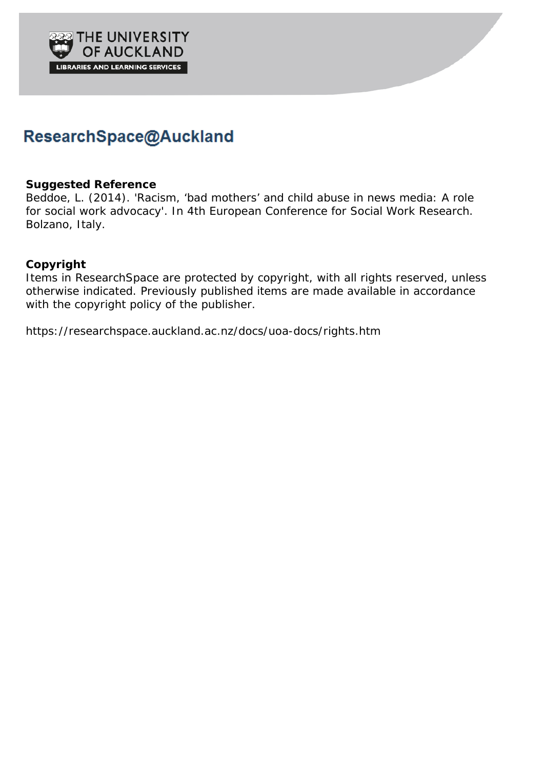

#### ResearchSpace@Auckland

#### **Suggested Reference**

Beddoe, L. (2014). 'Racism, 'bad mothers' and child abuse in news media: A role for social work advocacy'. In *4th European Conference for Social Work Research*. Bolzano, Italy.

#### **Copyright**

Items in ResearchSpace are protected by copyright, with all rights reserved, unless otherwise indicated. Previously published items are made available in accordance with the copyright policy of the publisher.

https://researchspace.auckland.ac.nz/docs/uoa-docs/rights.htm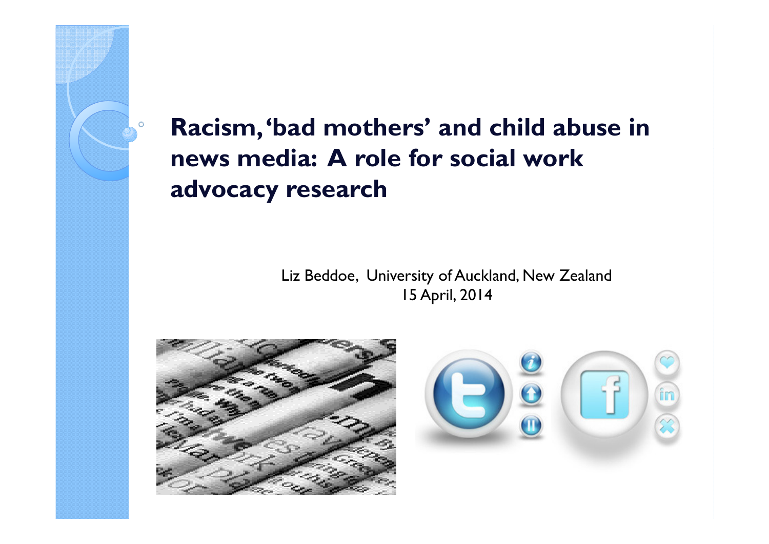Racism, 'bad mothers' and child abuse in news media: A role for social work advocacy research

 $\circ$ 

Liz Beddoe, University of Auckland, New Zealand15 April, 2014

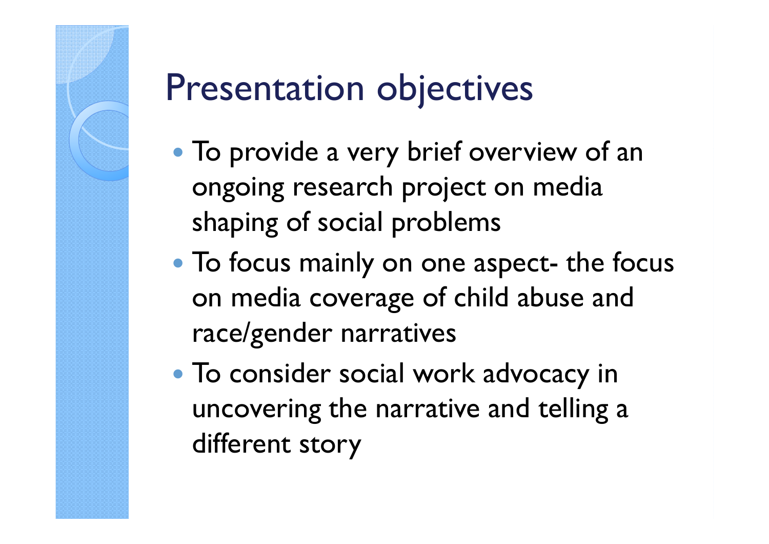#### Presentation objectives

- To provide a very brief overview of an ongoing research project on media shaping of social problems
- To focus mainly on one aspect- the focus<br>
on media coverage of child abuse and on media coverage of child abuse and race/gender narratives
- To consider social work advocacy in uncovering the narrative and telling a different story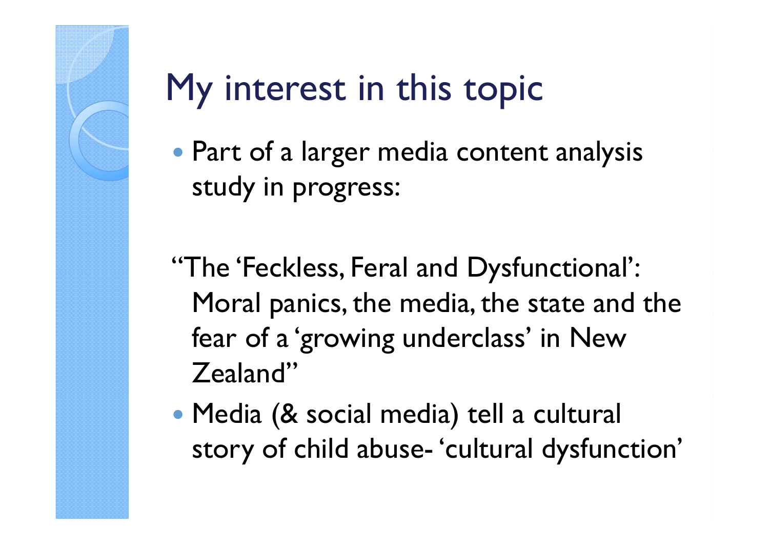# My interest in this topic

- Part of a larger media content analysis study in progress:
- "The 'Feckless, Feral and Dysfunctional': Moral panics, the media, the state and the fear of a 'growing underclass' in New Zealand"
- Media (& social media) tell a cultural story of child abuse- 'cultural dysfunction'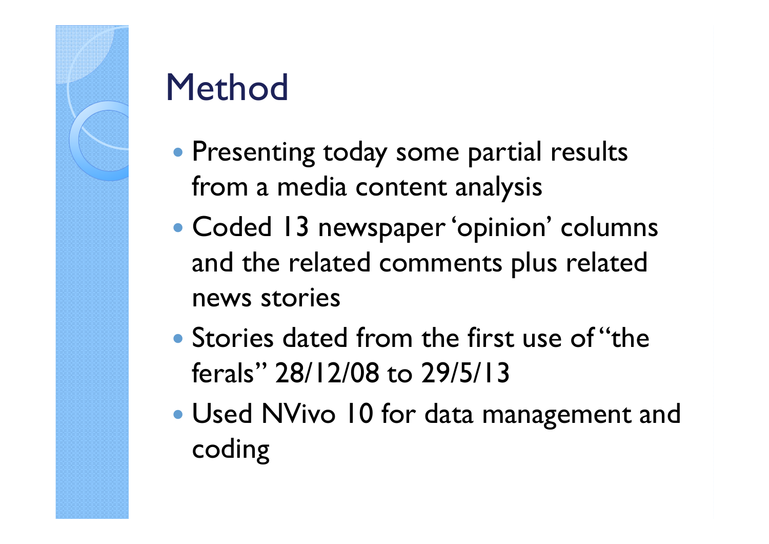# Method

- Presenting today some partial results from a media content analysis
- $\bullet$  Coded 13 newspaper 'opinion' columns and the related comments plus related news stories
- Stories dated from the first use of "the ferals" 28/12/08 to 29/5/13
- Used NVivo 10 for data management and coding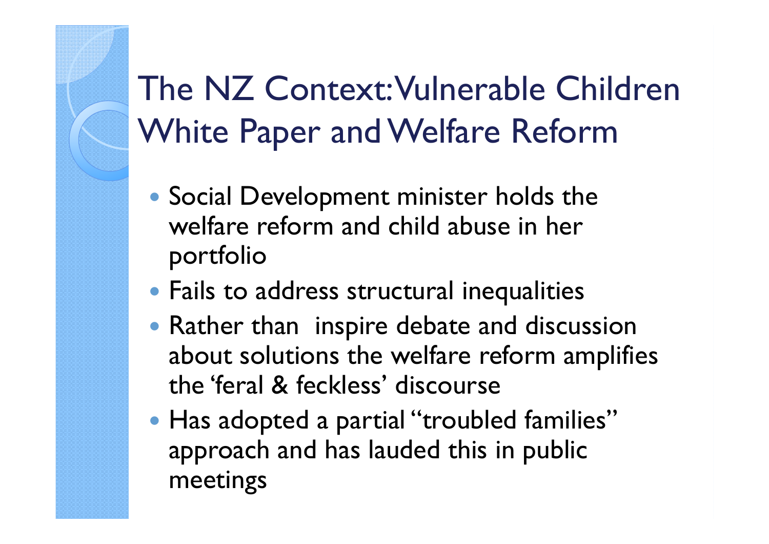#### The NZ Context: Vulnerable Children White Paper and Welfare Reform

- Social Development minister holds the welfare reform and child abuse in her portfolio
- Fails to address structural inequalities
- Rather than inspire debate and discussion about solutions the welfare reform amplifies the 'feral & feckless' discourse
- Has adopted a partial "troubled families" approach and has lauded this in public meetings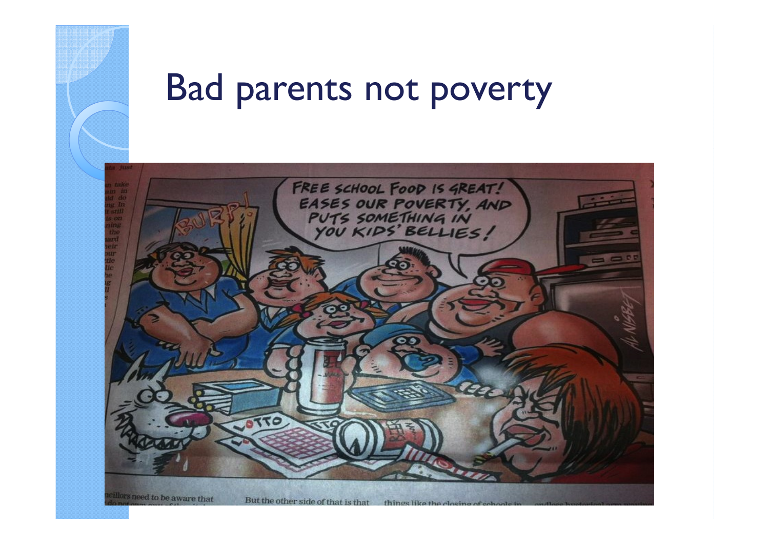

#### Bad parents not poverty

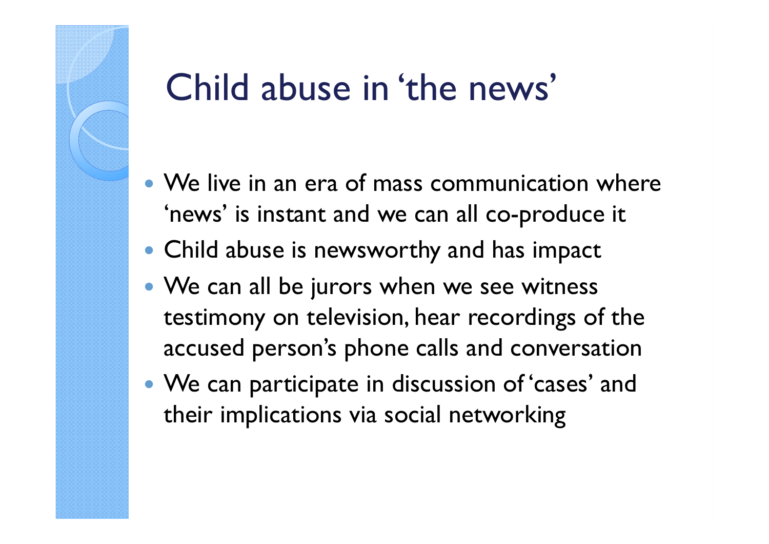#### Child abuse in 'the news'

- We live in an era of mass communication where 'news' is instant and we can all co-produce it
- Child abuse is newsworthy and has impact
- We can all be jurors when we see witness testimony on television, hear recordings of the accused person's phone calls and conversation
- We can participate in discussion of 'cases' and their implications via social networking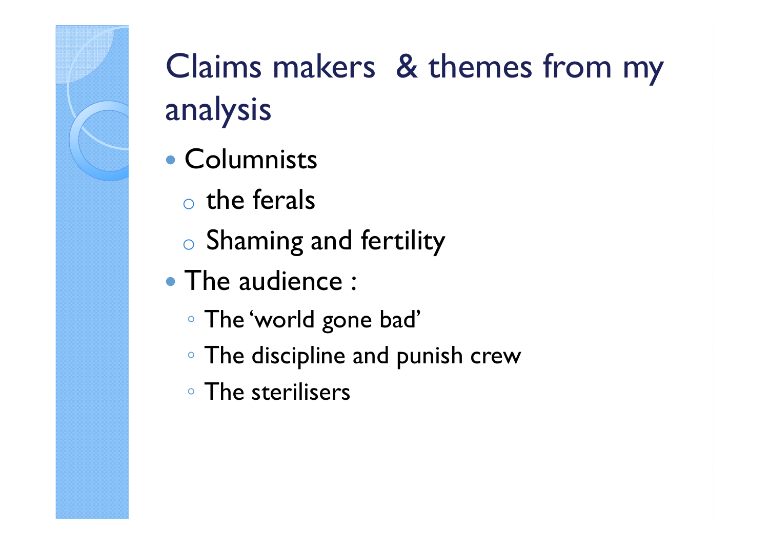### Claims makers & themes from my analysis

- Columnists
	- o $\circ$  the ferals
	- o $\circ$  Shaming and fertility
- The audience :
	- The 'world gone bad'
	- The discipline and punish crew
	- The sterilisers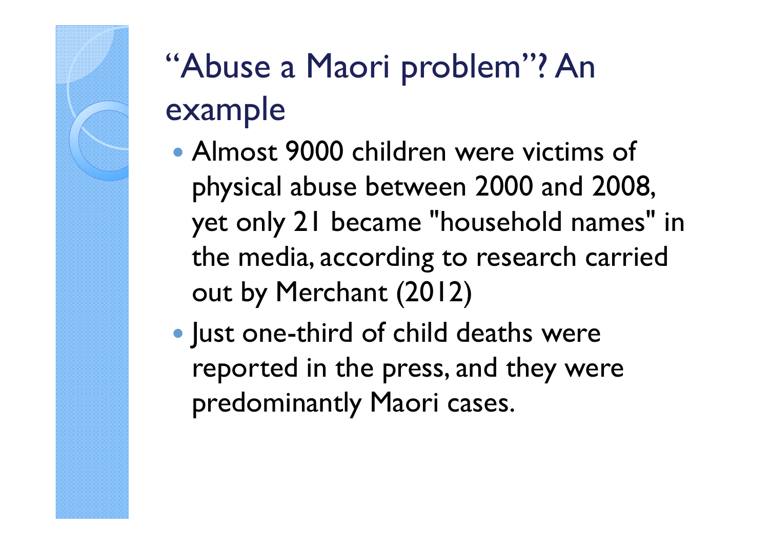## "Abuse a Maori problem"? An example

- Almost 9000 children were victims of physical abuse between 2000 and 2008, yet only 21 became "household names" in the media, according to research carried out by Merchant (2012)
- Just one-third of child deaths were reported in the press, and they were predominantly Maori cases.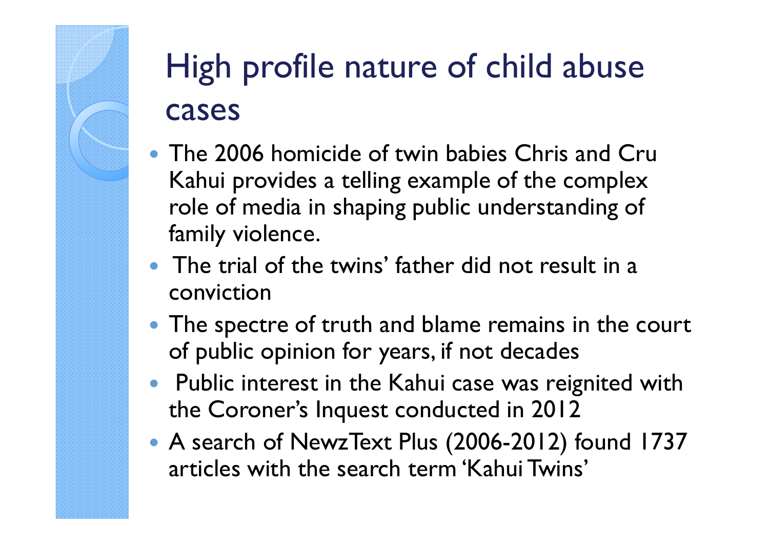### High profile nature of child abuse cases

- The 2006 homicide of twin babies Chris and Cru Kahui provides a telling example of the complex role of media in shaping public understanding of family violence.
- The trial of the twins' father did not result in a conviction
- The spectre of truth and blame remains in the court of public opinion for years, if not decades
- Public interest in the Kahui case was reignited with the Coroner's Inquest conducted in 2012
- A search of NewzText Plus (2006-2012) found 1737 articles with the search term 'Kahui Twins'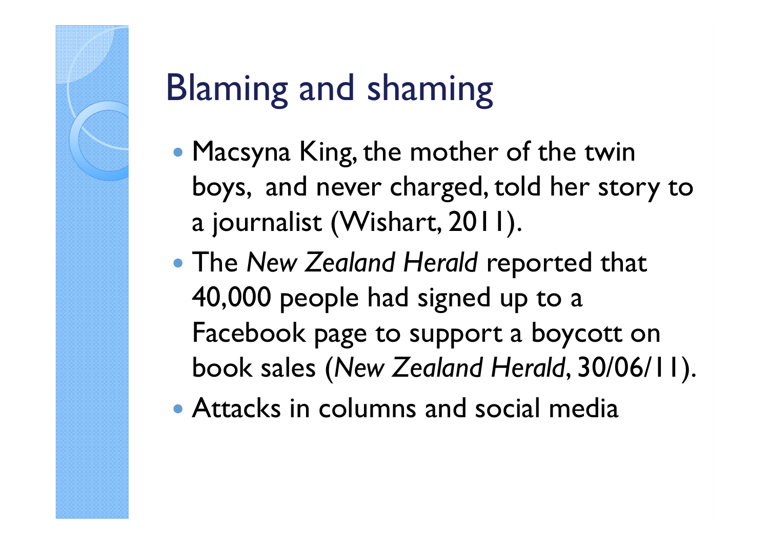# Blaming and shaming

- Macsyna King, the mother of the twin boys, and never charged, told her story to a journalist (Wishart, 2011).
- **The New Zealand Herald reported that** 40,000 people had signed up to a Facebook page to support a boycott on book sales (New Zealand Herald, 30/06/11).
- Attacks in columns and social media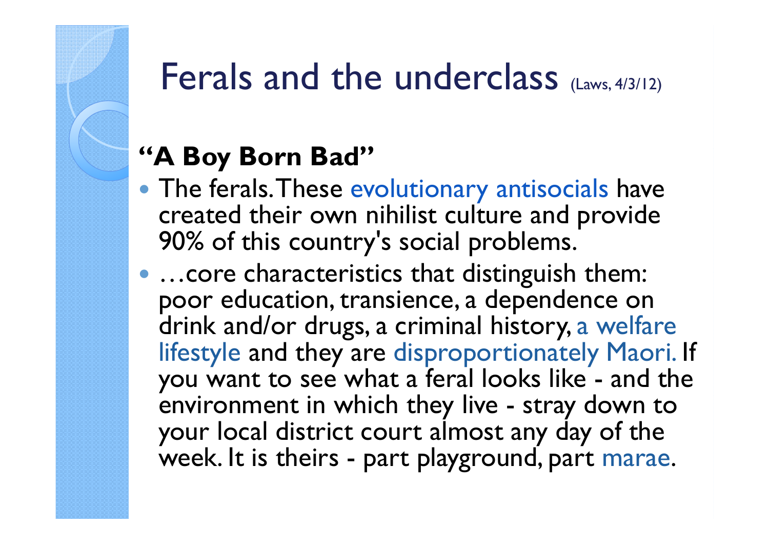#### Ferals and the underclass (Laws, 4/3/12)

#### "A Boy Born Bad"

- The ferals. These evolutionary antisocials have created their own nihilist culture and provide 90% of this country's social problems.
- ... core characteristics that distinguish them: poor education, transience, a dependence on drink and/or drugs, a criminal history, a welfare lifestyle and they are disproportionately Maori. If you want to see what a feral looks like - and the environment in which they live - stray down to your local district court almost any day of the week. It is theirs - part playground, part marae.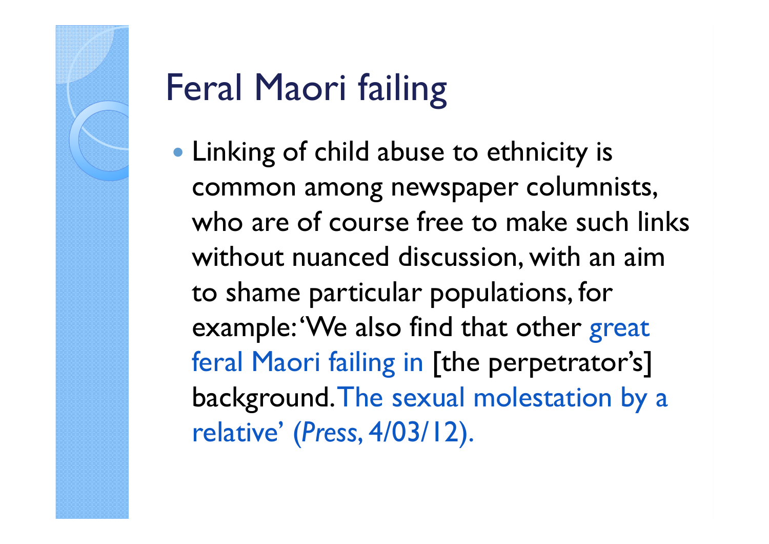# Feral Maori failing

 Linking of child abuse to ethnicity is common among newspaper columnists, who are of course free to make such links without nuanced discussion, with an aim to shame particular populations, for example:'We also find that other great feral Maori failing in [the perpetrator's] background. The sexual molestation by a relative' (Press, 4/03/12).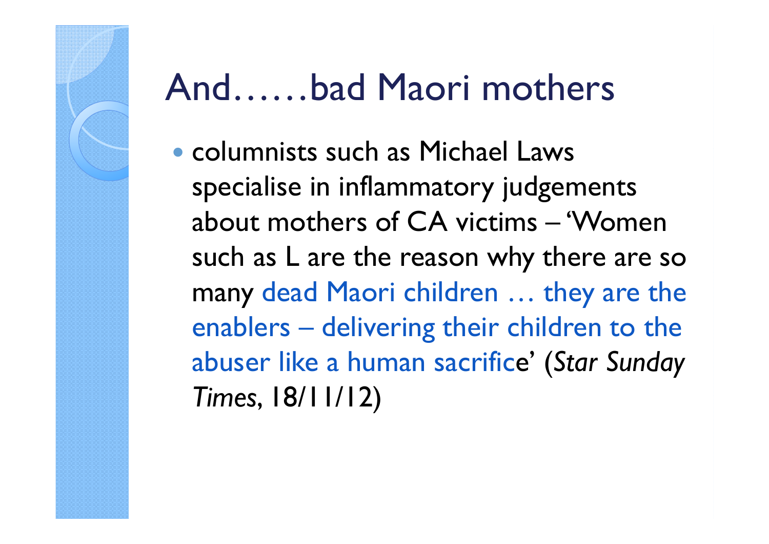#### And……bad Maori mothers

 columnists such as Michael Laws specialise in inflammatory judgements about mothers of CA victims – 'Women such as L are the reason why there are so many dead Maori children … they are the enablers – delivering their children to the abuser like a human sacrifice' (Star Sunday Times, 18/11/12)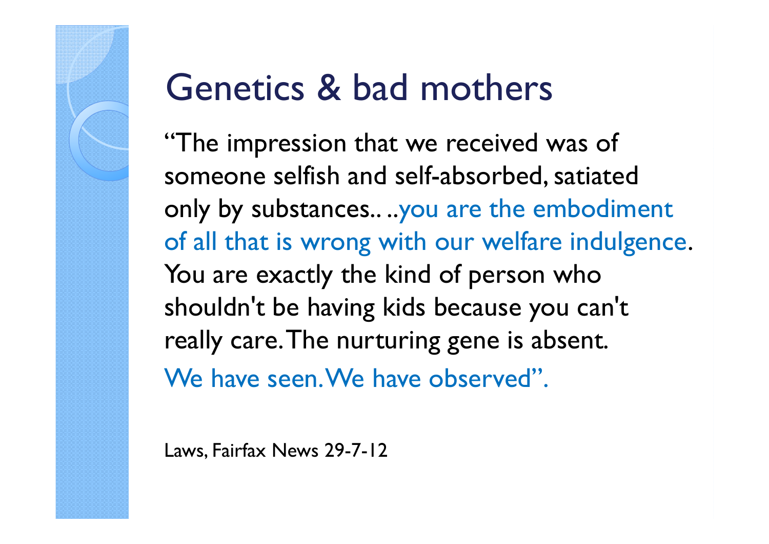#### Genetics & bad mothers

"The impression that we received was of someone selfish and self-absorbed, satiated only by substances.. ..you are the embodiment of all that is wrong with our welfare indulgence. You are exactly the kind of person who shouldn't be having kids because you can't really care. The nurturing gene is absent. We have seen. We have observed".

Laws, Fairfax News 29-7-12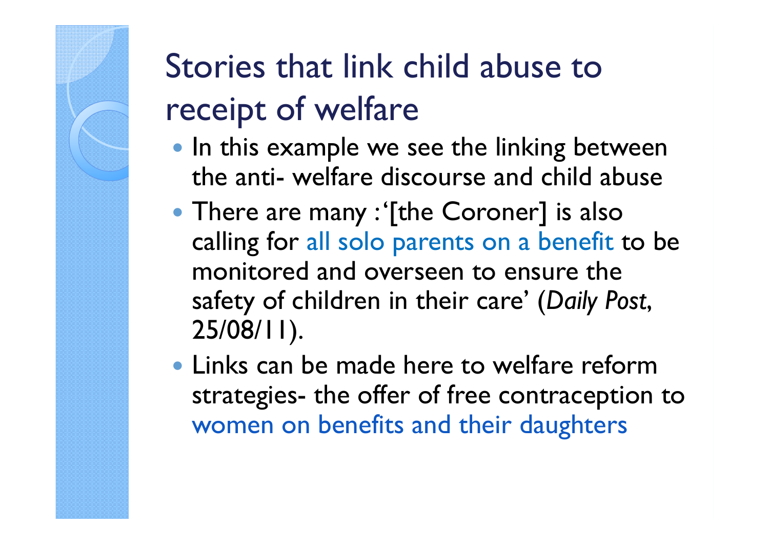### Stories that link child abuse to receipt of welfare

- In this example we see the linking between the anti- welfare discourse and child abuse
- There are many : '[the Coroner] is also calling for all solo parents on a benefit to be monitored and overseen to ensure the safety of children in their care' (Daily Post, 25/08/11).
- Links can be made here to welfare reform strategies- the offer of free contraception to women on benefits and their daughters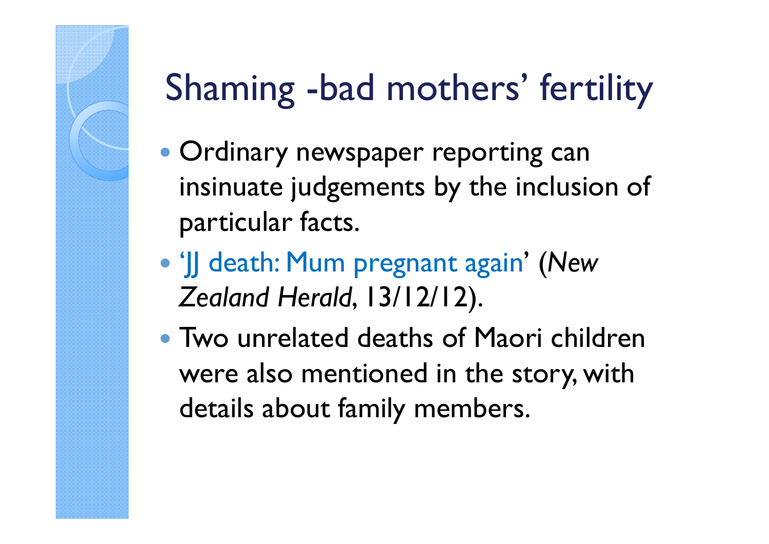## Shaming -bad mothers' fertility

- $\bullet$  Ordinary newspaper reporting can insinuate judgements by the inclusion of particular facts.
- 'JJ death: Mum pregnant again' (New Zealand Herald, 13/12/12).
- Two unrelated deaths of Maori children were also mentioned in the story, with details about family members.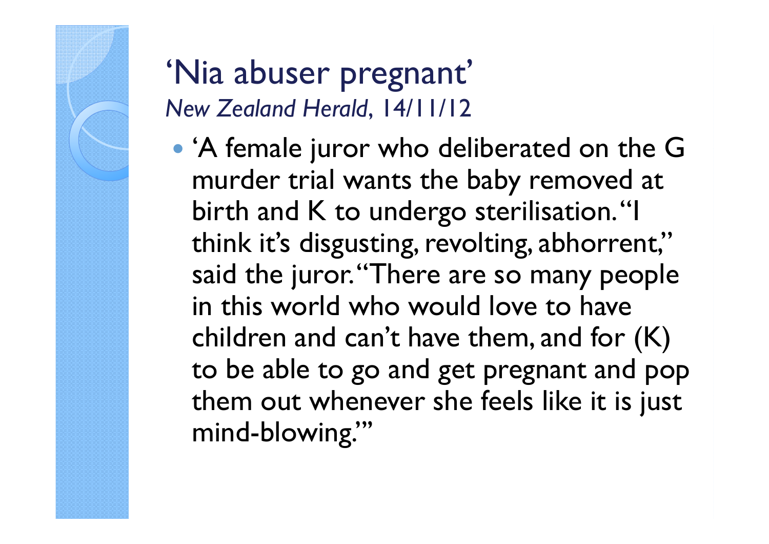#### 'Nia abuser pregnant' New Zealand Herald, 14/11/12

 'A female juror who deliberated on the G murder trial wants the baby removed at birth and K to undergo sterilisation. "I think it's disgusting, revolting, abhorrent," said the juror. "There are so many people in this world who would love to have children and can't have them, and for (K) to be able to go and get pregnant and pop them out whenever she feels like it is just mind-blowing."'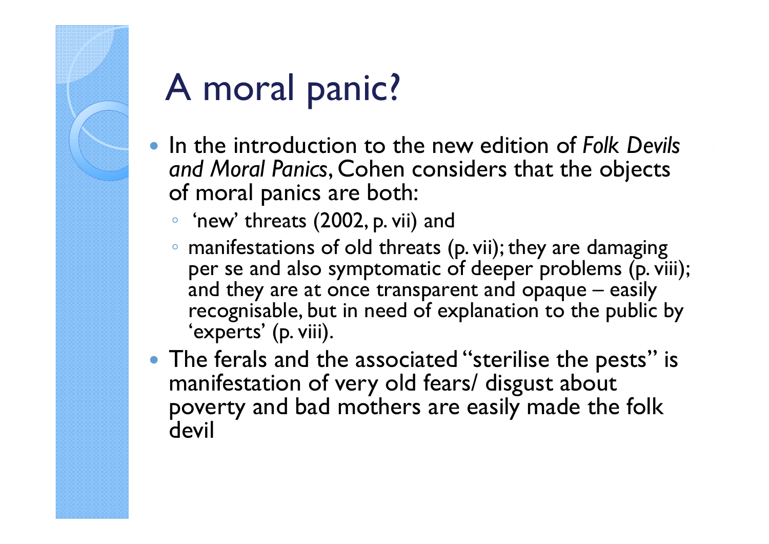### A moral panic?

- In the introduction to the new edition of Folk Devils and Moral Panics, Cohen considers that the objects of moral panics are both:
	- 'new' threats (2002, p. vii) and
	- manifestations of old threats (p. vii); they are damaging per se and also symptomatic of deeper problems (p. viii); and they are at once transparent and opaque – easily recognisable, but in need of explanation to the public by 'experts' (p. viii).
- The ferals and the associated "sterilise the pests" is manifestation of very old fears/ disgust about poverty and bad mothers are easily made the folk devil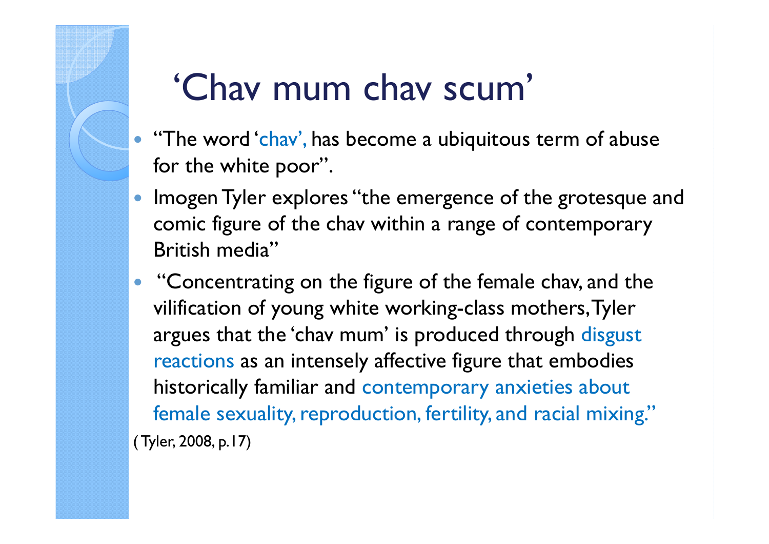### 'Chav mum chav scum'

- "The word 'chav', has become a ubiquitous term of abuse for the white poor".
- $\bullet$  Imogen Tyler explores "the emergence of the grotesque and comic figure of the chav within a range of contemporary British media"
- "Concentrating on the figure of the female chav, and the vilification of young white working-class mothers, Tyler argues that the 'chav mum' is produced through disgust reactions as an intensely affective figure that embodies historically familiar and contemporary anxieties about female sexuality, reproduction, fertility, and racial mixing."( Tyler, 2008, p.17)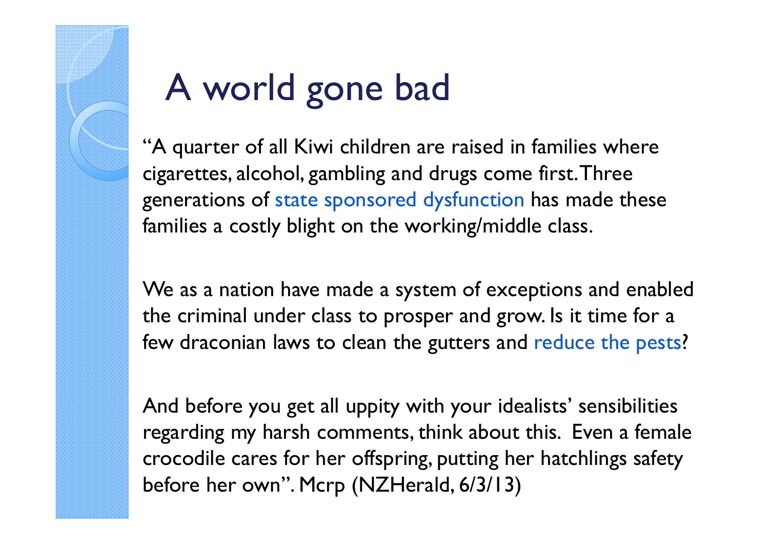# A world gone bad

"A quarter of all Kiwi children are raised in families where cigarettes, alcohol, gambling and drugs come first. Three generations of state sponsored dysfunction has made these families a costly blight on the working/middle class.

We as a nation have made a system of exceptions and enabled the criminal under class to prosper and grow. Is it time for a few draconian laws to clean the gutters and reduce the pests?

And before you get all uppity with your idealists' sensibilities regarding my harsh comments, think about this. Even a female crocodile cares for her offspring, putting her hatchlings safety before her own". Mcrp (NZHerald, 6/3/13)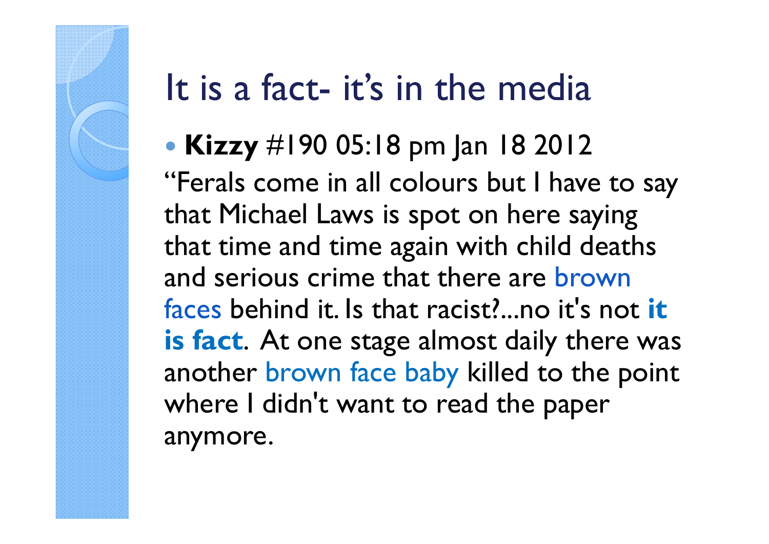#### It is a fact- it's in the media

 Kizzy #190 05:18 pm Jan 18 2012 "Ferals come in all colours but I have to say that Michael Laws is spot on here saying that time and time again with child deaths and serious crime that there are brown faces behind it. Is that racist?...no it's not it is fact. At one stage almost daily there was another brown face baby killed to the point where I didn't want to read the paper anymore.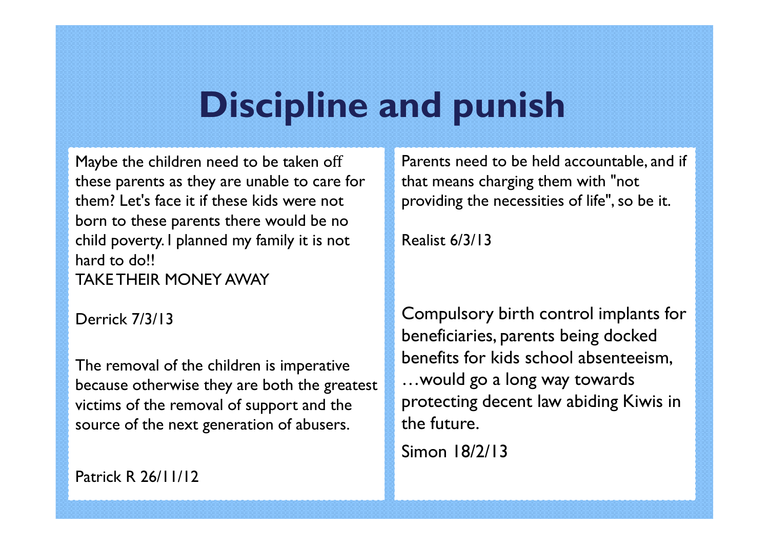#### Discipline and punish

Maybe the children need to be taken off these parents as they are unable to care for them? Let's face it if these kids were not born to these parents there would be no child poverty. I planned my family it is not hard to do!! TAKE THEIR MONEY AWAY

Derrick 7/3/13

The removal of the children is imperative because otherwise they are both the greatest victims of the removal of support and the source of the next generation of abusers.

Patrick R 26/11/12

Parents need to be held accountable, and if that means charging them with "not providing the necessities of life", so be it.

Realist 6/3/13

Compulsory birth control implants for beneficiaries, parents being docked benefits for kids school absenteeism, …would go a long way towards protecting decent law abiding Kiwis in the future.

Simon 18/2/13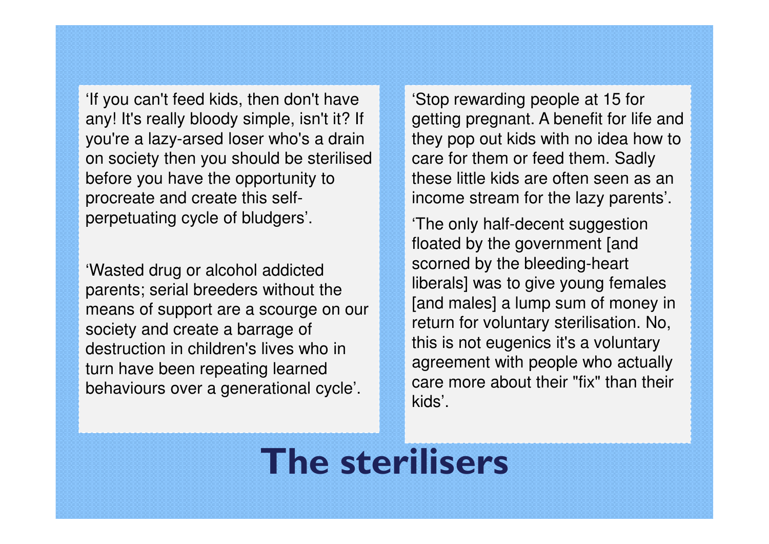'If you can't feed kids, then don't have any! It's really bloody simple, isn't it? If you're a lazy-arsed loser who's a drain on society then you should be sterilised before you have the opportunity to procreate and create this selfperpetuating cycle of bludgers'.

'Wasted drug or alcohol addicted parents; serial breeders without the means of support are a scourge on our society and create a barrage of destruction in children's lives who in turn have been repeating learned behaviours over a generational cycle'.

'Stop rewarding people at 15 for getting pregnant. A benefit for life and they pop out kids with no idea how to care for them or feed them. Sadly these little kids are often seen as an income stream for the lazy parents'.

'The only half-decent suggestion floated by the government [and scorned by the bleeding-heart liberals] was to give young females [and males] a lump sum of money in return for voluntary sterilisation. No, this is not eugenics it's a voluntary agreement with people who actually care more about their "fix" than their kids'.

#### The sterilisers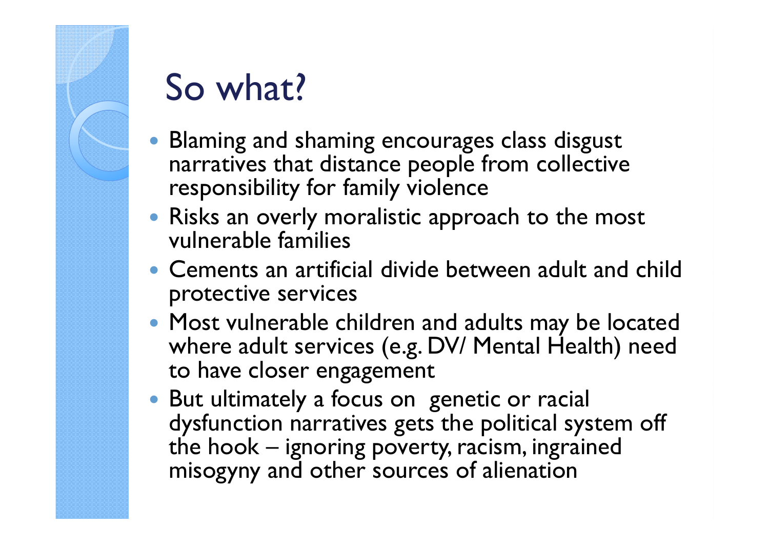

## So what?

- Blaming and shaming encourages class disgust narratives that distance people from collective responsibility for family violence
- Risks an overly moralistic approach to the most vulnerable families
- Cements an artificial divide between adult and child protective services
- Most vulnerable children and adults may be located where adult services (e.g. DV/ Mental Health) need to have closer engagement
- But ultimately a focus on genetic or racial dysfunction narratives gets the political system off the hook – ignoring poverty, racism, ingrained misogyny and other sources of alienation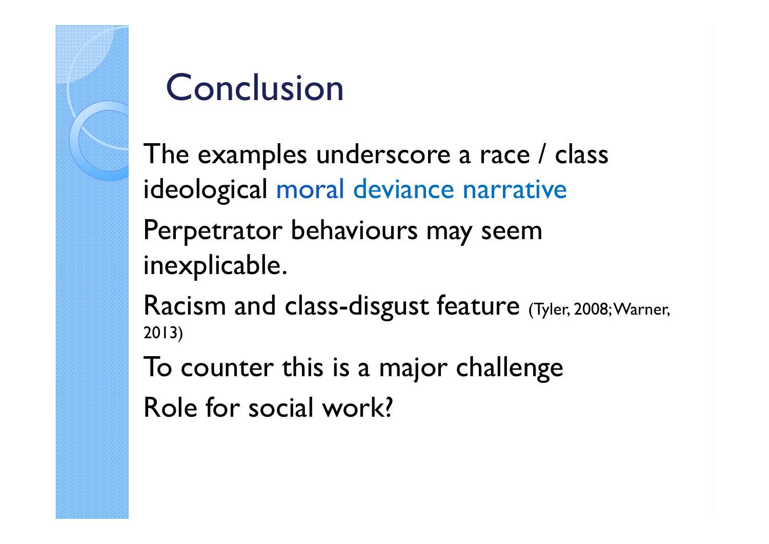# Conclusion

The examples underscore a race / class ideological moral deviance narrative Perpetrator behaviours may seem inexplicable. Racism and class-disgust feature (Tyler, 2008; Warner, 2013)To counter this is a major challengeRole for social work?